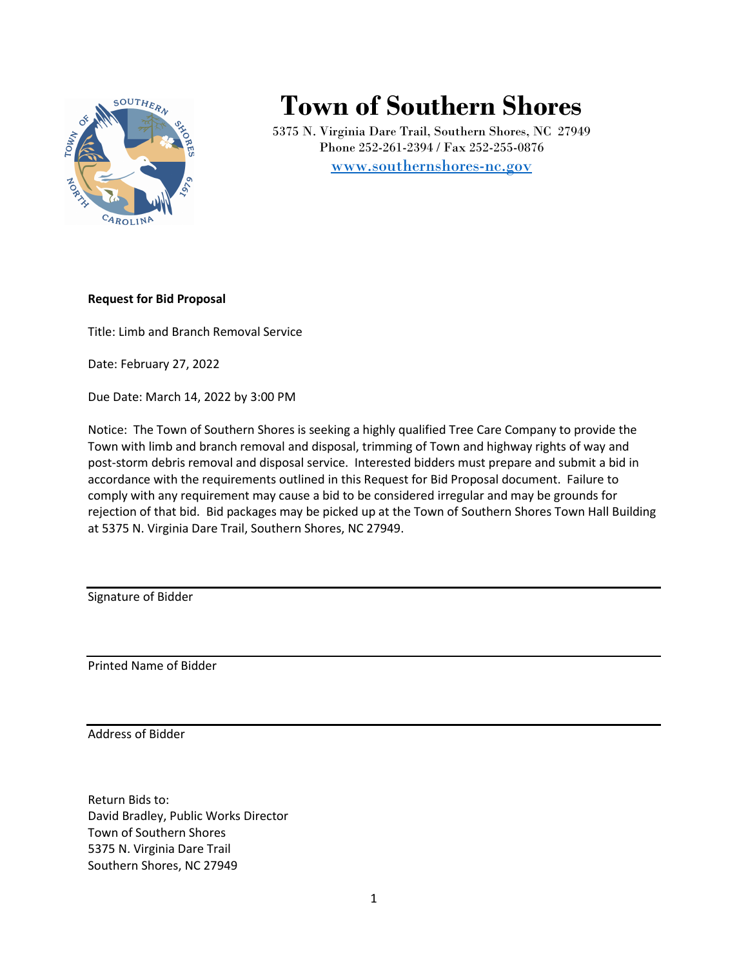

# **Town of Southern Shores**

5375 N. Virginia Dare Trail, Southern Shores, NC 27949 Phone 252-261-2394 / Fax 252-255-0876 [www.southernshores-nc.gov](http://www.southernshores-nc.gov/)

### **Request for Bid Proposal**

Title: Limb and Branch Removal Service

Date: February 27, 2022

Due Date: March 14, 2022 by 3:00 PM

Notice: The Town of Southern Shores is seeking a highly qualified Tree Care Company to provide the Town with limb and branch removal and disposal, trimming of Town and highway rights of way and post-storm debris removal and disposal service. Interested bidders must prepare and submit a bid in accordance with the requirements outlined in this Request for Bid Proposal document. Failure to comply with any requirement may cause a bid to be considered irregular and may be grounds for rejection of that bid. Bid packages may be picked up at the Town of Southern Shores Town Hall Building at 5375 N. Virginia Dare Trail, Southern Shores, NC 27949.

Signature of Bidder

Printed Name of Bidder

Address of Bidder

Return Bids to: David Bradley, Public Works Director Town of Southern Shores 5375 N. Virginia Dare Trail Southern Shores, NC 27949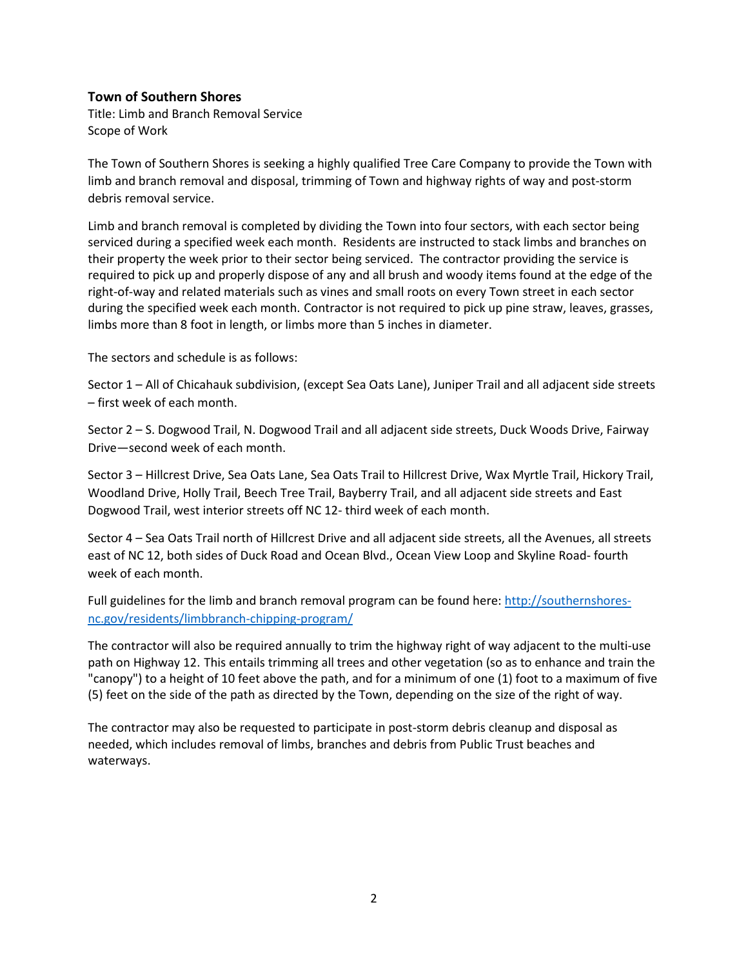## **Town of Southern Shores**

Title: Limb and Branch Removal Service Scope of Work

The Town of Southern Shores is seeking a highly qualified Tree Care Company to provide the Town with limb and branch removal and disposal, trimming of Town and highway rights of way and post-storm debris removal service.

Limb and branch removal is completed by dividing the Town into four sectors, with each sector being serviced during a specified week each month. Residents are instructed to stack limbs and branches on their property the week prior to their sector being serviced. The contractor providing the service is required to pick up and properly dispose of any and all brush and woody items found at the edge of the right-of-way and related materials such as vines and small roots on every Town street in each sector during the specified week each month. Contractor is not required to pick up pine straw, leaves, grasses, limbs more than 8 foot in length, or limbs more than 5 inches in diameter.

The sectors and schedule is as follows:

Sector 1 – All of Chicahauk subdivision, (except Sea Oats Lane), Juniper Trail and all adjacent side streets – first week of each month.

Sector 2 – S. Dogwood Trail, N. Dogwood Trail and all adjacent side streets, Duck Woods Drive, Fairway Drive—second week of each month.

Sector 3 – Hillcrest Drive, Sea Oats Lane, Sea Oats Trail to Hillcrest Drive, Wax Myrtle Trail, Hickory Trail, Woodland Drive, Holly Trail, Beech Tree Trail, Bayberry Trail, and all adjacent side streets and East Dogwood Trail, west interior streets off NC 12- third week of each month.

Sector 4 – Sea Oats Trail north of Hillcrest Drive and all adjacent side streets, all the Avenues, all streets east of NC 12, both sides of Duck Road and Ocean Blvd., Ocean View Loop and Skyline Road- fourth week of each month.

Full guidelines for the limb and branch removal program can be found here: [http://southernshores](http://southernshores-nc.gov/residents/limbbranch-chipping-program/)[nc.gov/residents/limbbranch-chipping-program/](http://southernshores-nc.gov/residents/limbbranch-chipping-program/)

The contractor will also be required annually to trim the highway right of way adjacent to the multi-use path on Highway 12. This entails trimming all trees and other vegetation (so as to enhance and train the "canopy") to a height of 10 feet above the path, and for a minimum of one (1) foot to a maximum of five (5) feet on the side of the path as directed by the Town, depending on the size of the right of way.

The contractor may also be requested to participate in post-storm debris cleanup and disposal as needed, which includes removal of limbs, branches and debris from Public Trust beaches and waterways.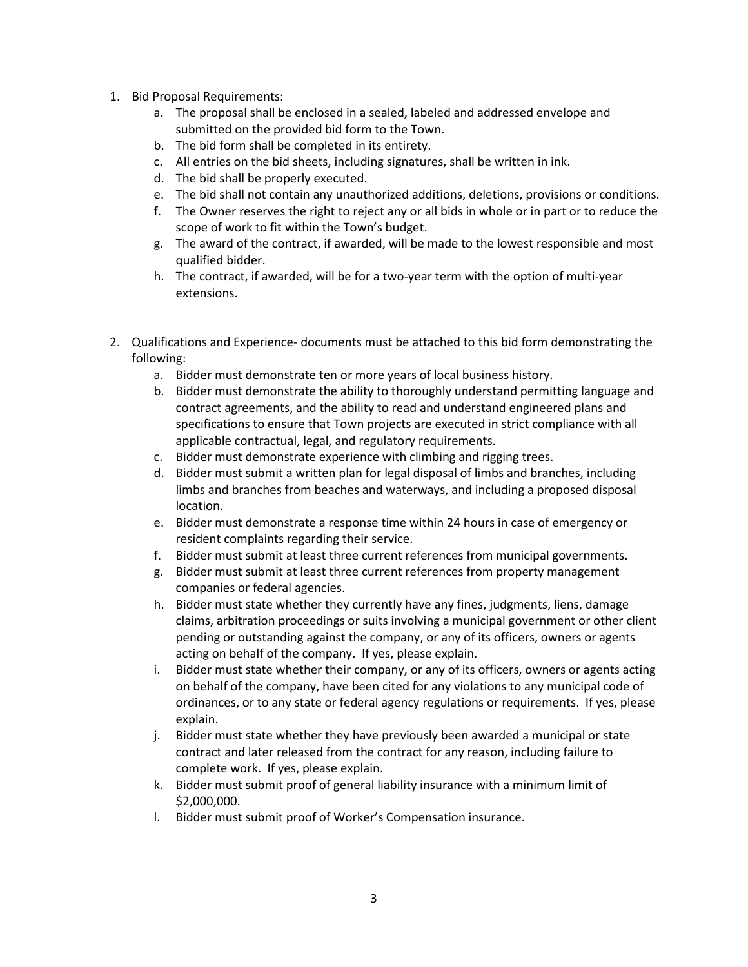- 1. Bid Proposal Requirements:
	- a. The proposal shall be enclosed in a sealed, labeled and addressed envelope and submitted on the provided bid form to the Town.
	- b. The bid form shall be completed in its entirety.
	- c. All entries on the bid sheets, including signatures, shall be written in ink.
	- d. The bid shall be properly executed.
	- e. The bid shall not contain any unauthorized additions, deletions, provisions or conditions.
	- f. The Owner reserves the right to reject any or all bids in whole or in part or to reduce the scope of work to fit within the Town's budget.
	- g. The award of the contract, if awarded, will be made to the lowest responsible and most qualified bidder.
	- h. The contract, if awarded, will be for a two-year term with the option of multi-year extensions.
- 2. Qualifications and Experience- documents must be attached to this bid form demonstrating the following:
	- a. Bidder must demonstrate ten or more years of local business history.
	- b. Bidder must demonstrate the ability to thoroughly understand permitting language and contract agreements, and the ability to read and understand engineered plans and specifications to ensure that Town projects are executed in strict compliance with all applicable contractual, legal, and regulatory requirements.
	- c. Bidder must demonstrate experience with climbing and rigging trees.
	- d. Bidder must submit a written plan for legal disposal of limbs and branches, including limbs and branches from beaches and waterways, and including a proposed disposal location.
	- e. Bidder must demonstrate a response time within 24 hours in case of emergency or resident complaints regarding their service.
	- f. Bidder must submit at least three current references from municipal governments.
	- g. Bidder must submit at least three current references from property management companies or federal agencies.
	- h. Bidder must state whether they currently have any fines, judgments, liens, damage claims, arbitration proceedings or suits involving a municipal government or other client pending or outstanding against the company, or any of its officers, owners or agents acting on behalf of the company. If yes, please explain.
	- i. Bidder must state whether their company, or any of its officers, owners or agents acting on behalf of the company, have been cited for any violations to any municipal code of ordinances, or to any state or federal agency regulations or requirements. If yes, please explain.
	- j. Bidder must state whether they have previously been awarded a municipal or state contract and later released from the contract for any reason, including failure to complete work. If yes, please explain.
	- k. Bidder must submit proof of general liability insurance with a minimum limit of \$2,000,000.
	- l. Bidder must submit proof of Worker's Compensation insurance.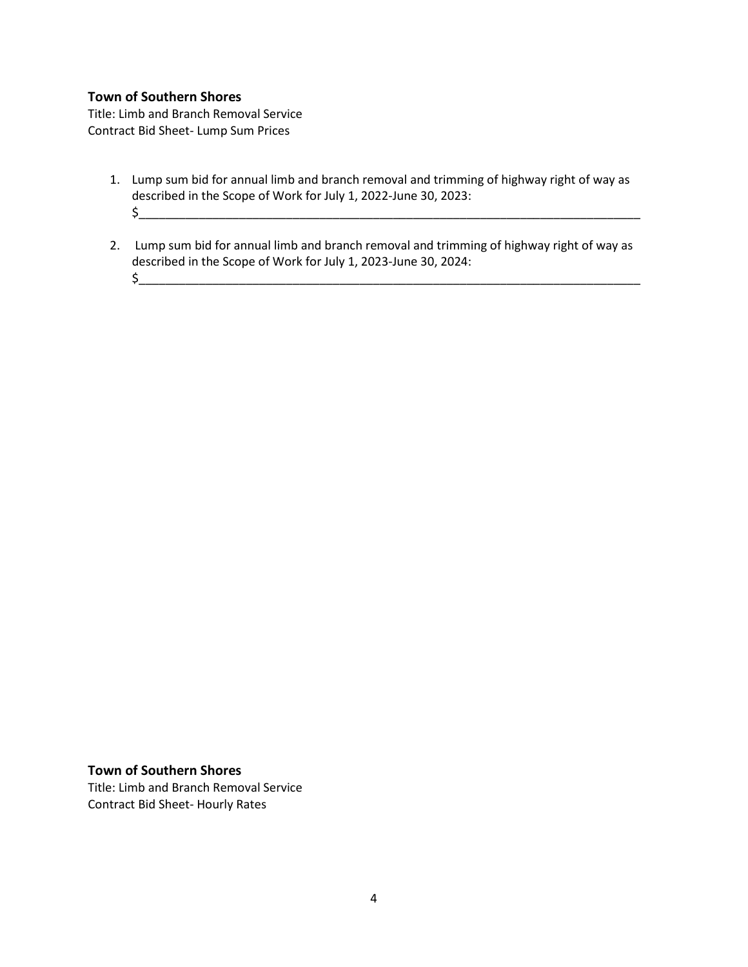## **Town of Southern Shores**

Title: Limb and Branch Removal Service Contract Bid Sheet- Lump Sum Prices

- 1. Lump sum bid for annual limb and branch removal and trimming of highway right of way as described in the Scope of Work for July 1, 2022-June 30, 2023: \$\_\_\_\_\_\_\_\_\_\_\_\_\_\_\_\_\_\_\_\_\_\_\_\_\_\_\_\_\_\_\_\_\_\_\_\_\_\_\_\_\_\_\_\_\_\_\_\_\_\_\_\_\_\_\_\_\_\_\_\_\_\_\_\_\_\_\_\_\_\_\_\_\_\_\_
- 2. Lump sum bid for annual limb and branch removal and trimming of highway right of way as described in the Scope of Work for July 1, 2023-June 30, 2024:  $$_{\text{}}$

#### **Town of Southern Shores**

Title: Limb and Branch Removal Service Contract Bid Sheet- Hourly Rates